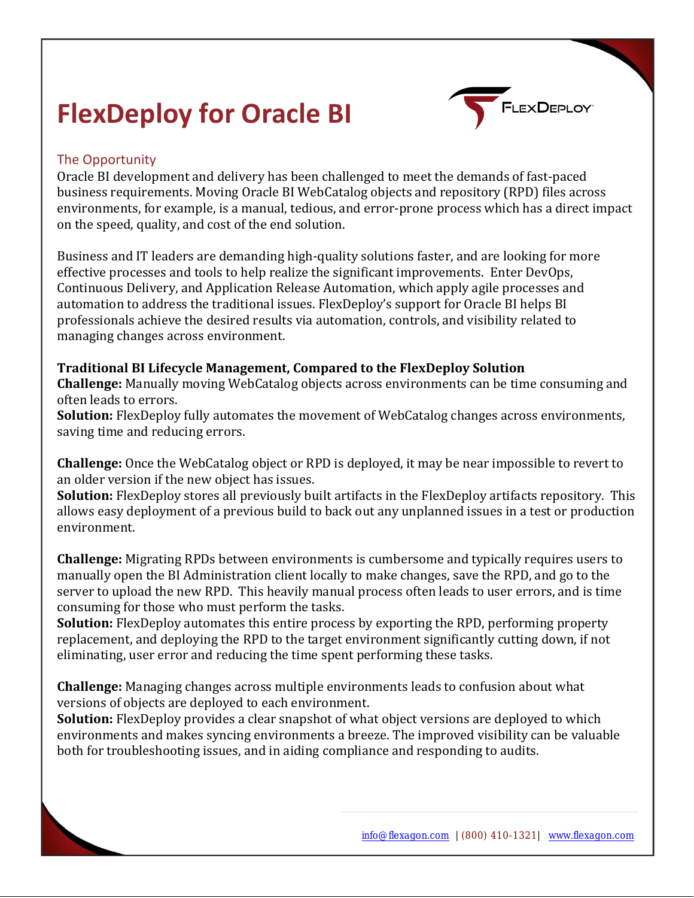# **FlexDeploy for Oracle BI**



# The Opportunity

Oracle BI development and delivery has been challenged to meet the demands of fast-paced business requirements. Moving Oracle BI WebCatalog objects and repository (RPD) files across environments, for example, is a manual, tedious, and error-prone process which has a direct impact on the speed, quality, and cost of the end solution.

Business and IT leaders are demanding high-quality solutions faster, and are looking for more effective processes and tools to help realize the significant improvements. Enter DevOps, Continuous Delivery, and Application Release Automation, which apply agile processes and automation to address the traditional issues. FlexDeploy's support for Oracle BI helps BI professionals achieve the desired results via automation, controls, and visibility related to managing changes across environment.

**Traditional BI Lifecycle Management, Compared to the FlexDeploy Solution**

**Challenge:** Manually moving WebCatalog objects across environments can be time consuming and often leads to errors.

**Solution:** FlexDeploy fully automates the movement of WebCatalog changes across environments, saving time and reducing errors.

**Challenge:** Once the WebCatalog object or RPD is deployed, it may be near impossible to revert to an older version if the new object has issues.

**Solution:** FlexDeploy stores all previously built artifacts in the FlexDeploy artifacts repository. This allows easy deployment of a previous build to back out any unplanned issues in a test or production environment.

**Challenge:** Migrating RPDs between environments is cumbersome and typically requires users to manually open the BI Administration client locally to make changes, save the RPD, and go to the server to upload the new RPD. This heavily manual process often leads to user errors, and is time consuming for those who must perform the tasks.

**Solution:** FlexDeploy automates this entire process by exporting the RPD, performing property replacement, and deploying the RPD to the target environment significantly cutting down, if not eliminating, user error and reducing the time spent performing these tasks.

**Challenge:** Managing changes across multiple environments leads to confusion about what versions of objects are deployed to each environment.

**Solution:** FlexDeploy provides a clear snapshot of what object versions are deployed to which environments and makes syncing environments a breeze. The improved visibility can be valuable both for troubleshooting issues, and in aiding compliance and responding to audits.